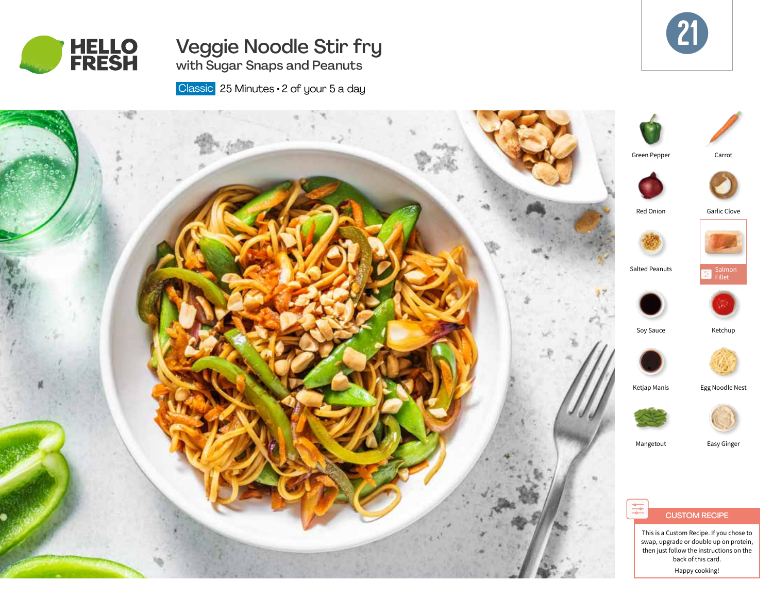

# Veggie Noodle Stir fry with Sugar Snaps and Peanuts



Classic 25 Minutes · 2 of your 5 a day